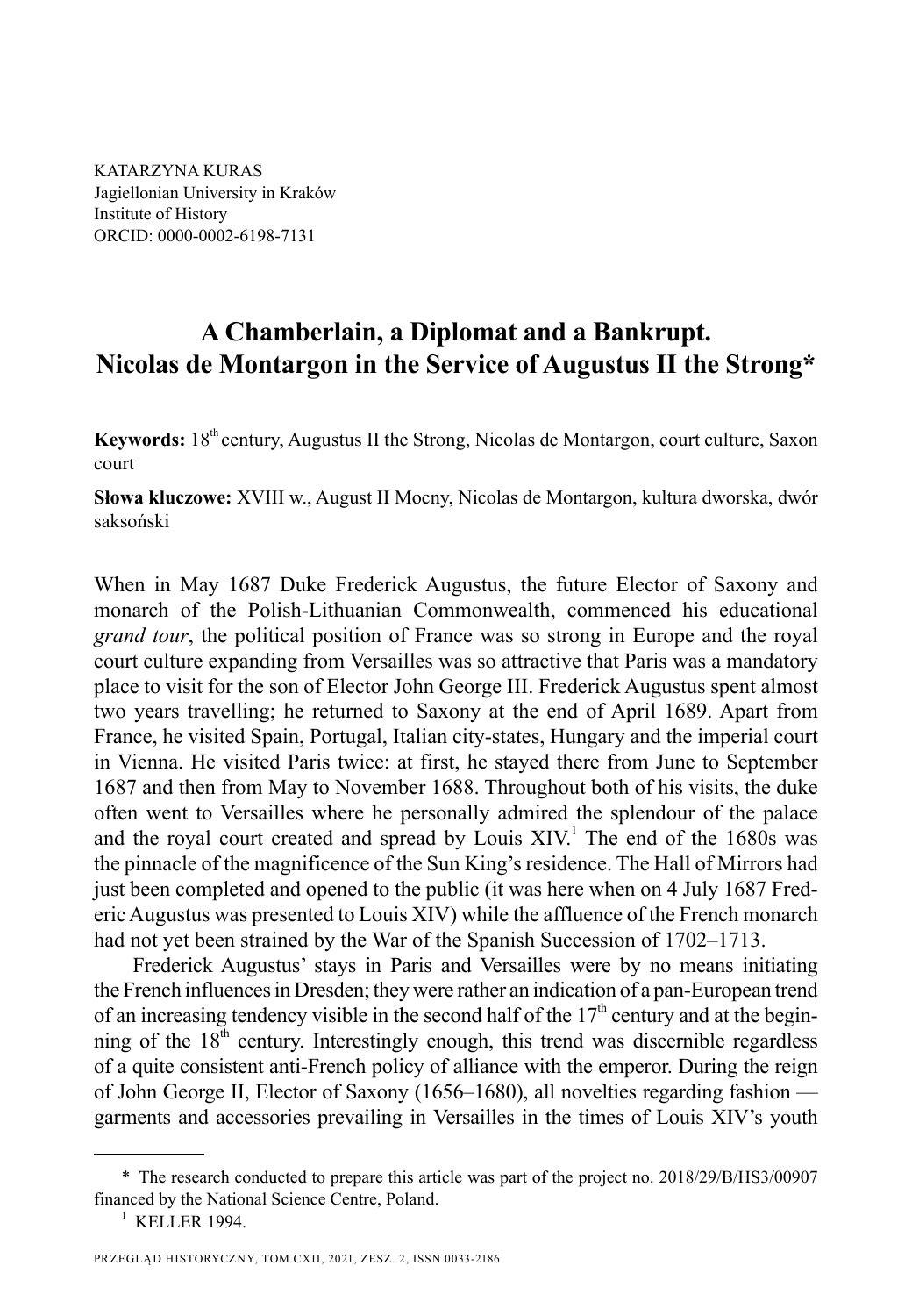KATARZYNA KURAS Jagiellonian University in Kraków Institute of History ORCID: 0000-0002-6198-7131

# **A Chamberlain, a Diplomat and a Bankrupt. Nicolas de Montargon in the Service of Augustus II the Strong\***

**Keywords:** 18<sup>th</sup> century, Augustus II the Strong, Nicolas de Montargon, court culture, Saxon court

**Słowa kluczowe:** XVIII w., August II Mocny, Nicolas de Montargon, kultura dworska, dwór saksoński

When in May 1687 Duke Frederick Augustus, the future Elector of Saxony and monarch of the Polish-Lithuanian Commonwealth, commenced his educational *grand tour*, the political position of France was so strong in Europe and the royal court culture expanding from Versailles was so attractive that Paris was a mandatory place to visit for the son of Elector John George III. Frederick Augustus spent almost two years travelling; he returned to Saxony at the end of April 1689. Apart from France, he visited Spain, Portugal, Italian city-states, Hungary and the imperial court in Vienna. He visited Paris twice: at first, he stayed there from June to September 1687 and then from May to November 1688. Throughout both of his visits, the duke often went to Versailles where he personally admired the splendour of the palace and the royal court created and spread by Louis  $XIV<sup>1</sup>$ . The end of the 1680s was the pinnacle of the magnificence of the Sun King's residence. The Hall of Mirrors had just been completed and opened to the public (it was here when on 4 July 1687 Frederic Augustus was presented to Louis XIV) while the affluence of the French monarch had not yet been strained by the War of the Spanish Succession of 1702–1713.

Frederick Augustus' stays in Paris and Versailles were by no means initiating the French influences in Dresden; they were rather an indication of a pan-European trend of an increasing tendency visible in the second half of the  $17<sup>th</sup>$  century and at the beginning of the  $18<sup>th</sup>$  century. Interestingly enough, this trend was discernible regardless of a quite consistent anti-French policy of alliance with the emperor. During the reign of John George II, Elector of Saxony (1656–1680), all novelties regarding fashion garments and accessories prevailing in Versailles in the times of Louis XIV's youth

<sup>\*</sup> The research conducted to prepare this article was part of the project no. 2018/29/B/HS3/00907 financed by the National Science Centre, Poland.

<sup>&</sup>lt;sup>1</sup> KELLER 1994.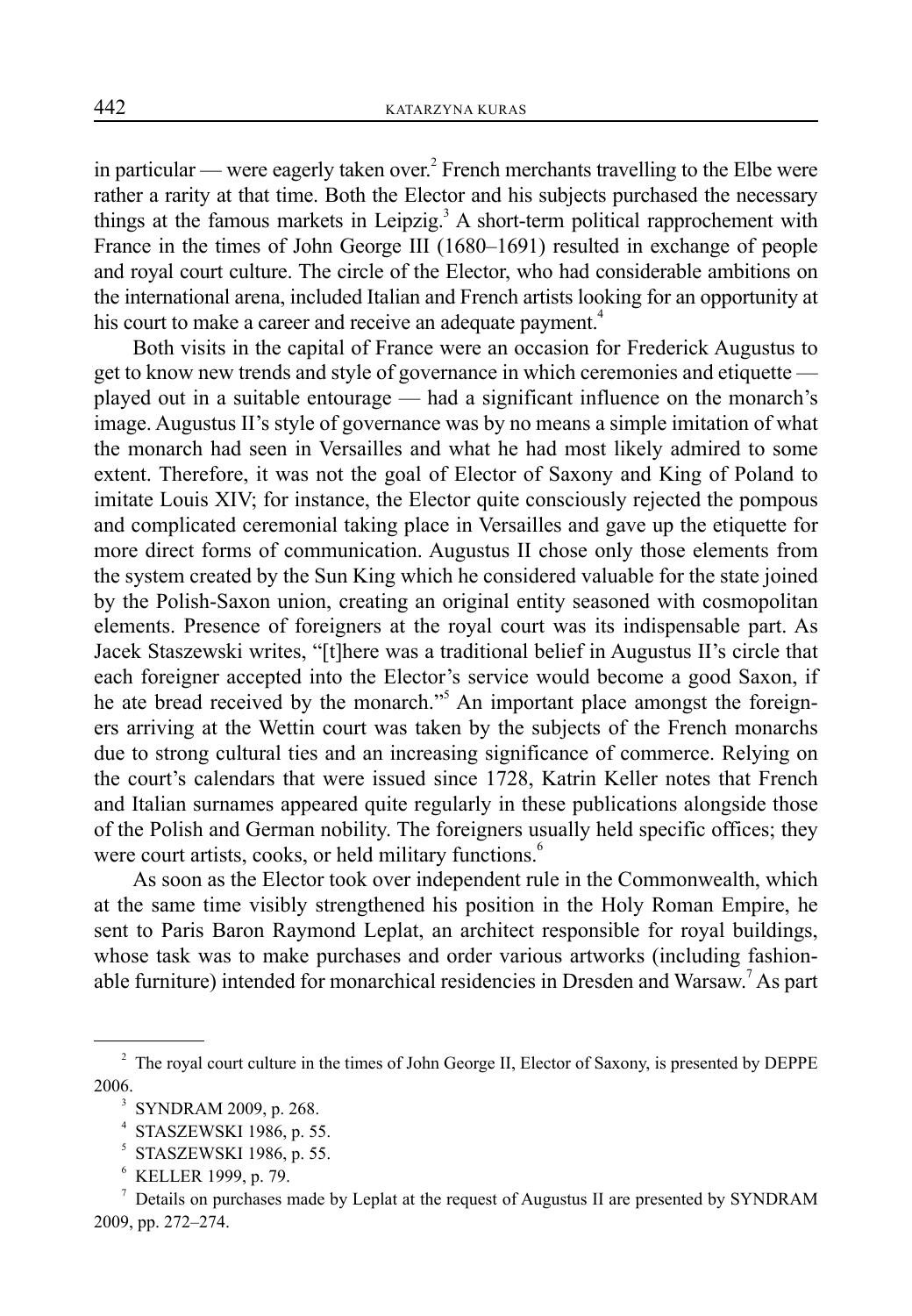in particular — were eagerly taken over.<sup>2</sup> French merchants travelling to the Elbe were rather a rarity at that time. Both the Elector and his subjects purchased the necessary things at the famous markets in Leipzig.<sup>3</sup> A short-term political rapprochement with France in the times of John George III (1680–1691) resulted in exchange of people and royal court culture. The circle of the Elector, who had considerable ambitions on the international arena, included Italian and French artists looking for an opportunity at his court to make a career and receive an adequate payment.<sup>4</sup>

Both visits in the capital of France were an occasion for Frederick Augustus to get to know new trends and style of governance in which ceremonies and etiquette played out in a suitable entourage — had a significant influence on the monarch's image. Augustus II's style of governance was by no means a simple imitation of what the monarch had seen in Versailles and what he had most likely admired to some extent. Therefore, it was not the goal of Elector of Saxony and King of Poland to imitate Louis XIV; for instance, the Elector quite consciously rejected the pompous and complicated ceremonial taking place in Versailles and gave up the etiquette for more direct forms of communication. Augustus II chose only those elements from the system created by the Sun King which he considered valuable for the state joined by the Polish-Saxon union, creating an original entity seasoned with cosmopolitan elements. Presence of foreigners at the royal court was its indispensable part. As Jacek Staszewski writes, "[t]here was a traditional belief in Augustus II's circle that each foreigner accepted into the Elector's service would become a good Saxon, if he ate bread received by the monarch."<sup>5</sup> An important place amongst the foreigners arriving at the Wettin court was taken by the subjects of the French monarchs due to strong cultural ties and an increasing significance of commerce. Relying on the court's calendars that were issued since 1728, Katrin Keller notes that French and Italian surnames appeared quite regularly in these publications alongside those of the Polish and German nobility. The foreigners usually held specific offices; they were court artists, cooks, or held military functions.<sup>6</sup>

As soon as the Elector took over independent rule in the Commonwealth, which at the same time visibly strengthened his position in the Holy Roman Empire, he sent to Paris Baron Raymond Leplat, an architect responsible for royal buildings, whose task was to make purchases and order various artworks (including fashionable furniture) intended for monarchical residencies in Dresden and Warsaw.<sup>7</sup> As part

 $2^2$  The royal court culture in the times of John George II, Elector of Saxony, is presented by DEPPE 2006.

<sup>3</sup> SYNDRAM 2009, p. 268.

<sup>4</sup> STASZEWSKI 1986, p. 55.

<sup>5</sup> STASZEWSKI 1986, p. 55.

<sup>6</sup> KELLER 1999, p. 79.

<sup>7</sup> Details on purchases made by Leplat at the request of Augustus II are presented by SYNDRAM 2009, pp. 272–274.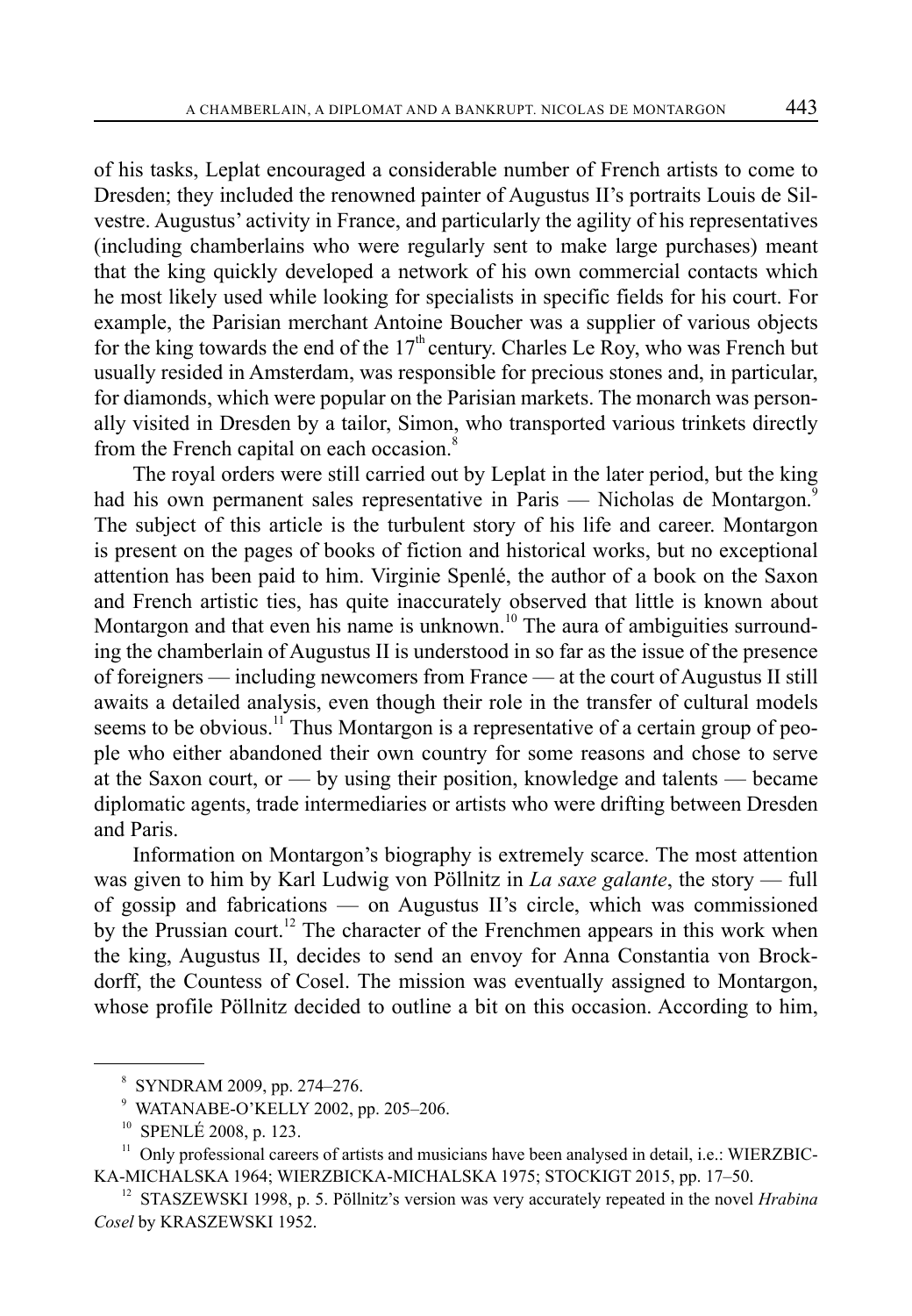of his tasks, Leplat encouraged a considerable number of French artists to come to Dresden; they included the renowned painter of Augustus II's portraits Louis de Silvestre. Augustus' activity in France, and particularly the agility of his representatives (including chamberlains who were regularly sent to make large purchases) meant that the king quickly developed a network of his own commercial contacts which he most likely used while looking for specialists in specific fields for his court. For example, the Parisian merchant Antoine Boucher was a supplier of various objects for the king towards the end of the  $17<sup>th</sup>$  century. Charles Le Roy, who was French but usually resided in Amsterdam, was responsible for precious stones and, in particular, for diamonds, which were popular on the Parisian markets. The monarch was personally visited in Dresden by a tailor, Simon, who transported various trinkets directly from the French capital on each occasion.<sup>8</sup>

The royal orders were still carried out by Leplat in the later period, but the king had his own permanent sales representative in Paris — Nicholas de Montargon.<sup>9</sup> The subject of this article is the turbulent story of his life and career. Montargon is present on the pages of books of fiction and historical works, but no exceptional attention has been paid to him. Virginie Spenlé, the author of a book on the Saxon and French artistic ties, has quite inaccurately observed that little is known about Montargon and that even his name is unknown.<sup>10</sup> The aura of ambiguities surrounding the chamberlain of Augustus II is understood in so far as the issue of the presence of foreigners — including newcomers from France — at the court of Augustus II still awaits a detailed analysis, even though their role in the transfer of cultural models seems to be obvious.<sup>11</sup> Thus Montargon is a representative of a certain group of people who either abandoned their own country for some reasons and chose to serve at the Saxon court, or — by using their position, knowledge and talents — became diplomatic agents, trade intermediaries or artists who were drifting between Dresden and Paris.

Information on Montargon's biography is extremely scarce. The most attention was given to him by Karl Ludwig von Pöllnitz in *La saxe galante*, the story — full of gossip and fabrications — on Augustus II's circle, which was commissioned by the Prussian court.<sup>12</sup> The character of the Frenchmen appears in this work when the king, Augustus II, decides to send an envoy for Anna Constantia von Brockdorff, the Countess of Cosel. The mission was eventually assigned to Montargon, whose profile Pöllnitz decided to outline a bit on this occasion. According to him,

<sup>8</sup> SYNDRAM 2009, pp. 274–276.

<sup>9</sup> WATANABE-O'KELLY 2002, pp. 205–206.

<sup>10</sup> SPENLÉ 2008, p. 123.

<sup>&</sup>lt;sup>11</sup> Only professional careers of artists and musicians have been analysed in detail, i.e.: WIERZBIC-KA-MICHALSKA 1964; WIERZBICKA-MICHALSKA 1975; STOCKIGT 2015, pp. 17–50.

<sup>&</sup>lt;sup>12</sup> STASZEWSKI 1998, p. 5. Pöllnitz's version was very accurately repeated in the novel *Hrabina Cosel* by KRASZEWSKI 1952.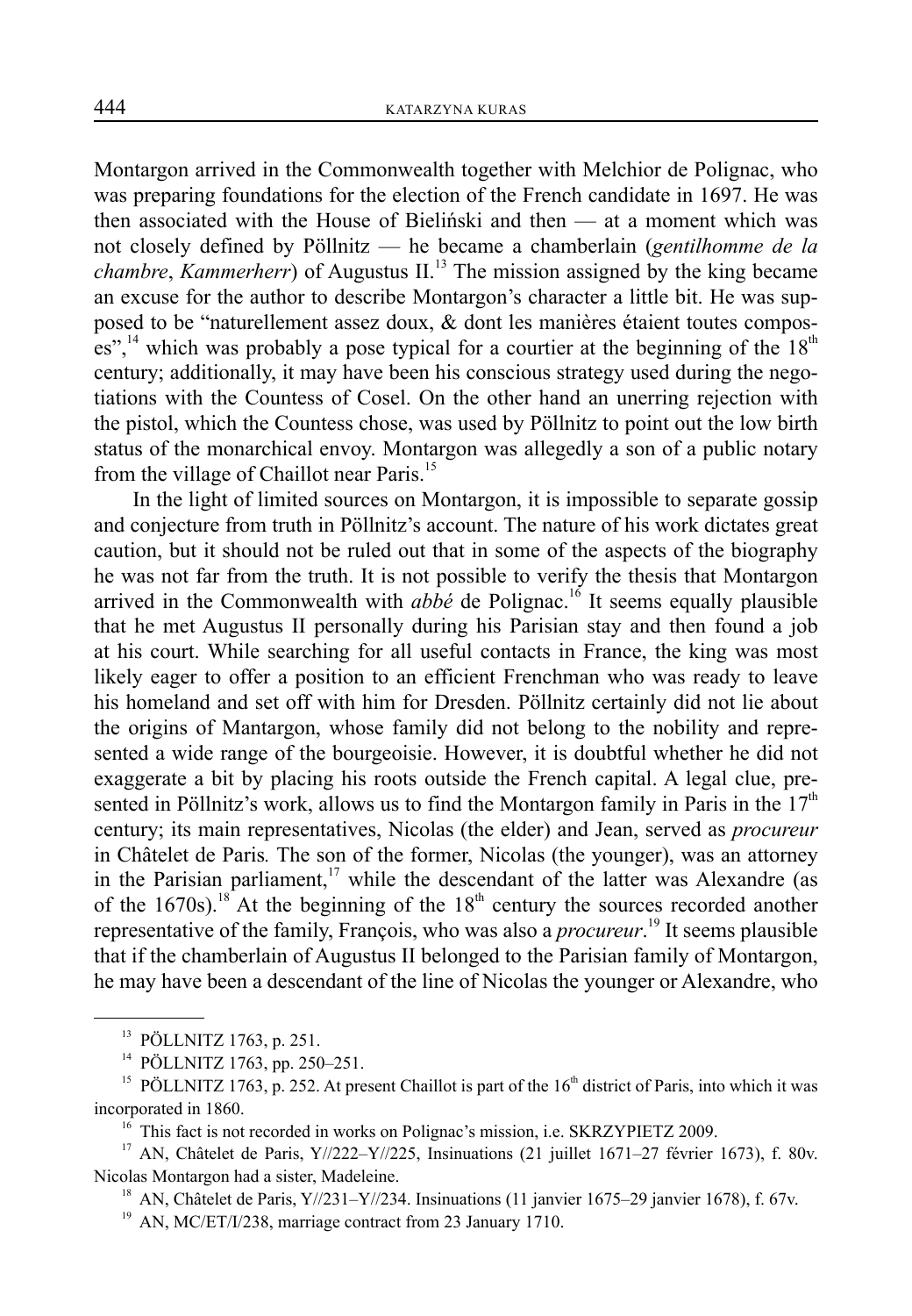Montargon arrived in the Commonwealth together with Melchior de Polignac, who was preparing foundations for the election of the French candidate in 1697. He was then associated with the House of Bieliński and then — at a moment which was not closely defined by Pöllnitz — he became a chamberlain (*gentilhomme de la chambre*, *Kammerherr*) of Augustus II.<sup>13</sup> The mission assigned by the king became an excuse for the author to describe Montargon's character a little bit. He was supposed to be "naturellement assez doux, & dont les manières étaient toutes composes",<sup>14</sup> which was probably a pose typical for a courtier at the beginning of the  $18<sup>th</sup>$ century; additionally, it may have been his conscious strategy used during the negotiations with the Countess of Cosel. On the other hand an unerring rejection with the pistol, which the Countess chose, was used by Pöllnitz to point out the low birth status of the monarchical envoy. Montargon was allegedly a son of a public notary from the village of Chaillot near Paris.<sup>15</sup>

In the light of limited sources on Montargon, it is impossible to separate gossip and conjecture from truth in Pöllnitz's account. The nature of his work dictates great caution, but it should not be ruled out that in some of the aspects of the biography he was not far from the truth. It is not possible to verify the thesis that Montargon arrived in the Commonwealth with  $abb\acute{e}$  de Polignac.<sup>16</sup> It seems equally plausible that he met Augustus II personally during his Parisian stay and then found a job at his court. While searching for all useful contacts in France, the king was most likely eager to offer a position to an efficient Frenchman who was ready to leave his homeland and set off with him for Dresden. Pöllnitz certainly did not lie about the origins of Mantargon, whose family did not belong to the nobility and represented a wide range of the bourgeoisie. However, it is doubtful whether he did not exaggerate a bit by placing his roots outside the French capital. A legal clue, presented in Pöllnitz's work, allows us to find the Montargon family in Paris in the  $17<sup>th</sup>$ century; its main representatives, Nicolas (the elder) and Jean, served as *procureur*  in Châtelet de Paris*.* The son of the former, Nicolas (the younger), was an attorney in the Parisian parliament,<sup>17</sup> while the descendant of the latter was Alexandre (as of the 1670s).<sup>18</sup> At the beginning of the  $18<sup>th</sup>$  century the sources recorded another representative of the family, François, who was also a *procureur*. 19 It seems plausible that if the chamberlain of Augustus II belonged to the Parisian family of Montargon, he may have been a descendant of the line of Nicolas the younger or Alexandre, who

<sup>13</sup> PÖLLNITZ 1763, p. 251.

<sup>14</sup> PÖLLNITZ 1763, pp. 250–251.

<sup>&</sup>lt;sup>15</sup> PÖLLNITZ 1763, p. 252. At present Chaillot is part of the  $16<sup>th</sup>$  district of Paris, into which it was incorporated in 1860.<br><sup>16</sup> This fact is not recorded in works on Polignac's mission, i.e. SKRZYPIETZ 2009.

<sup>&</sup>lt;sup>17</sup> AN, Châtelet de Paris, Y//222-Y//225, Insinuations (21 juillet 1671-27 février 1673), f. 80v. Nicolas Montargon had a sister, Madeleine.<br><sup>18</sup> AN, Châtelet de Paris, Y//231–Y//234. Insinuations (11 janvier 1675–29 janvier 1678), f. 67v.

<sup>&</sup>lt;sup>19</sup> AN, MC/ET/I/238, marriage contract from 23 January 1710.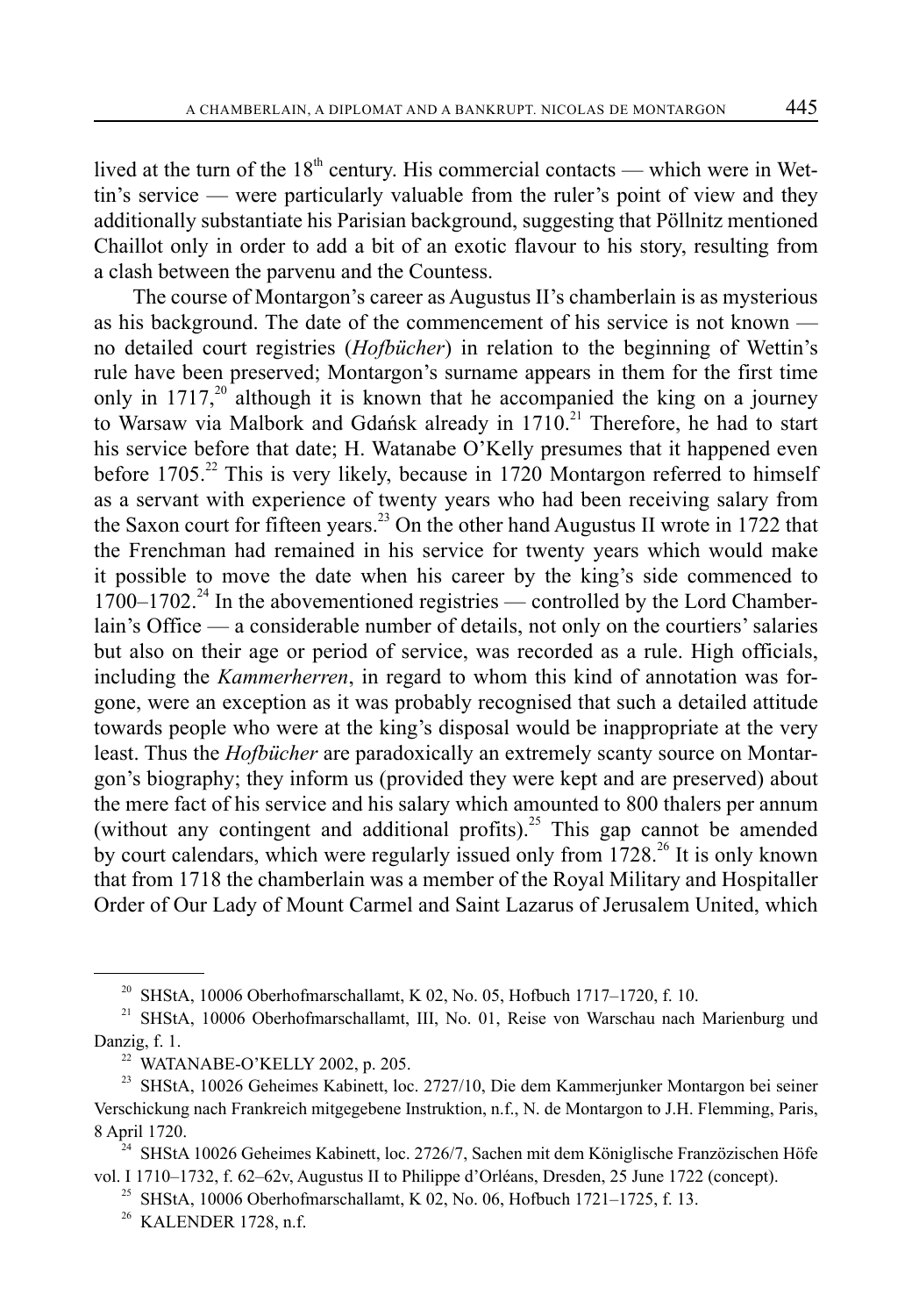lived at the turn of the  $18<sup>th</sup>$  century. His commercial contacts — which were in Wettin's service — were particularly valuable from the ruler's point of view and they additionally substantiate his Parisian background, suggesting that Pöllnitz mentioned Chaillot only in order to add a bit of an exotic flavour to his story, resulting from a clash between the parvenu and the Countess.

The course of Montargon's career as Augustus II's chamberlain is as mysterious as his background. The date of the commencement of his service is not known no detailed court registries (*Hofbücher*) in relation to the beginning of Wettin's rule have been preserved; Montargon's surname appears in them for the first time only in  $1717<sup>20</sup>$  although it is known that he accompanied the king on a journey to Warsaw via Malbork and Gdańsk already in  $1710<sup>21</sup>$  Therefore, he had to start his service before that date; H. Watanabe O'Kelly presumes that it happened even before  $1705.<sup>22</sup>$  This is very likely, because in 1720 Montargon referred to himself as a servant with experience of twenty years who had been receiving salary from the Saxon court for fifteen years.<sup>23</sup> On the other hand Augustus II wrote in 1722 that the Frenchman had remained in his service for twenty years which would make it possible to move the date when his career by the king's side commenced to  $1700-1702$ <sup>24</sup> In the abovementioned registries — controlled by the Lord Chamberlain's Office — a considerable number of details, not only on the courtiers' salaries but also on their age or period of service, was recorded as a rule. High officials, including the *Kammerherren*, in regard to whom this kind of annotation was forgone, were an exception as it was probably recognised that such a detailed attitude towards people who were at the king's disposal would be inappropriate at the very least. Thus the *Hofbücher* are paradoxically an extremely scanty source on Montargon's biography; they inform us (provided they were kept and are preserved) about the mere fact of his service and his salary which amounted to 800 thalers per annum (without any contingent and additional profits).<sup>25</sup> This gap cannot be amended by court calendars, which were regularly issued only from 1728.<sup>26</sup> It is only known that from 1718 the chamberlain was a member of the Royal Military and Hospitaller Order of Our Lady of Mount Carmel and Saint Lazarus of Jerusalem United, which

 $^{20}$  SHStA, 10006 Oberhofmarschallamt, K 02, No. 05, Hofbuch 1717–1720, f. 10.

<sup>&</sup>lt;sup>21</sup> SHStA, 10006 Oberhofmarschallamt, III, No. 01, Reise von Warschau nach Marienburg und Danzig, f. 1.

<sup>&</sup>lt;sup>22</sup> WATANABE-O'KELLY 2002, p. 205.

<sup>&</sup>lt;sup>23</sup> SHStA, 10026 Geheimes Kabinett, loc. 2727/10, Die dem Kammerjunker Montargon bei seiner Verschickung nach Frankreich mitgegebene Instruktion, n.f., N. de Montargon to J.H. Flemming, Paris, 8 April 1720.

<sup>&</sup>lt;sup>24</sup> SHStA 10026 Geheimes Kabinett, loc. 2726/7, Sachen mit dem Königlische Franzözischen Höfe vol. I 1710–1732, f. 62–62v, Augustus II to Philippe d'Orléans, Dresden, 25 June 1722 (concept).

<sup>&</sup>lt;sup>25</sup> SHStA, 10006 Oberhofmarschallamt, K 02, No. 06, Hofbuch 1721–1725, f. 13.

<sup>26</sup> KALENDER 1728, n.f.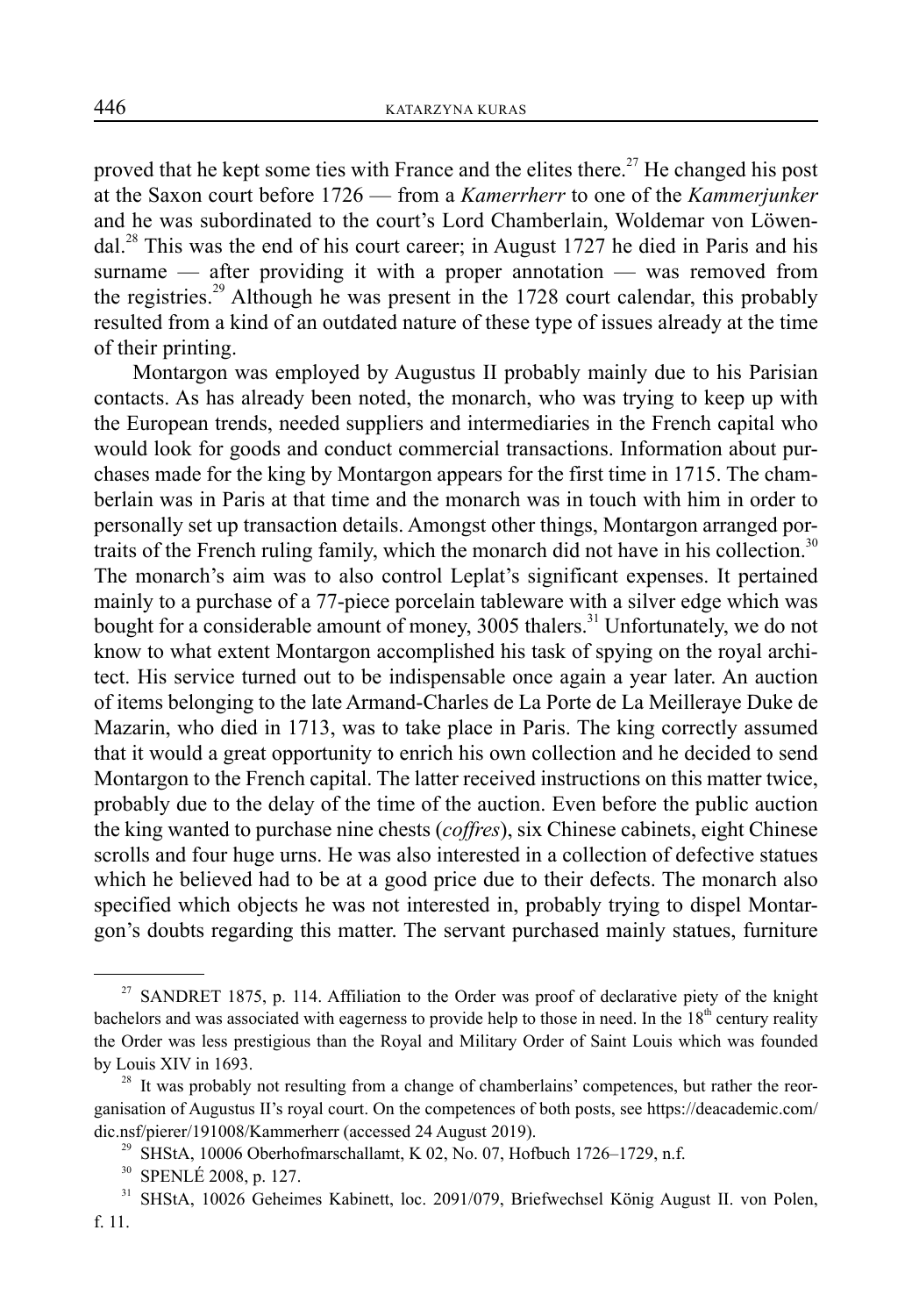proved that he kept some ties with France and the elites there.<sup>27</sup> He changed his post at the Saxon court before 1726 — from a *Kamerrherr* to one of the *Kammerjunker* and he was subordinated to the court's Lord Chamberlain, Woldemar von Löwendal.28 This was the end of his court career; in August 1727 he died in Paris and his surname — after providing it with a proper annotation — was removed from the registries.<sup>29</sup> Although he was present in the 1728 court calendar, this probably resulted from a kind of an outdated nature of these type of issues already at the time of their printing.

Montargon was employed by Augustus II probably mainly due to his Parisian contacts. As has already been noted, the monarch, who was trying to keep up with the European trends, needed suppliers and intermediaries in the French capital who would look for goods and conduct commercial transactions. Information about purchases made for the king by Montargon appears for the first time in 1715. The chamberlain was in Paris at that time and the monarch was in touch with him in order to personally set up transaction details. Amongst other things, Montargon arranged portraits of the French ruling family, which the monarch did not have in his collection.<sup>30</sup> The monarch's aim was to also control Leplat's significant expenses. It pertained mainly to a purchase of a 77-piece porcelain tableware with a silver edge which was bought for a considerable amount of money, 3005 thalers.<sup>31</sup> Unfortunately, we do not know to what extent Montargon accomplished his task of spying on the royal architect. His service turned out to be indispensable once again a year later. An auction of items belonging to the late Armand-Charles de La Porte de La Meilleraye Duke de Mazarin, who died in 1713, was to take place in Paris. The king correctly assumed that it would a great opportunity to enrich his own collection and he decided to send Montargon to the French capital. The latter received instructions on this matter twice, probably due to the delay of the time of the auction. Even before the public auction the king wanted to purchase nine chests (*coffres*), six Chinese cabinets, eight Chinese scrolls and four huge urns. He was also interested in a collection of defective statues which he believed had to be at a good price due to their defects. The monarch also specified which objects he was not interested in, probably trying to dispel Montargon's doubts regarding this matter. The servant purchased mainly statues, furniture

<sup>&</sup>lt;sup>27</sup> SANDRET 1875, p. 114. Affiliation to the Order was proof of declarative piety of the knight bachelors and was associated with eagerness to provide help to those in need. In the  $18<sup>th</sup>$  century reality the Order was less prestigious than the Royal and Military Order of Saint Louis which was founded by Louis XIV in 1693.<br><sup>28</sup> It was probably not resulting from a change of chamberlains' competences, but rather the reor-

ganisation of Augustus II's royal court. On the competences of both posts, see https://deacademic.com/ dic.nsf/pierer/191008/Kammerherr (accessed 24 August 2019).<br><sup>29</sup> SHStA, 10006 Oberhofmarschallamt, K 02, No. 07, Hofbuch 1726–1729, n.f.

<sup>30</sup> SPENLÉ 2008, p. 127.

<sup>&</sup>lt;sup>31</sup> SHStA, 10026 Geheimes Kabinett, loc. 2091/079, Briefwechsel König August II. von Polen, f. 11.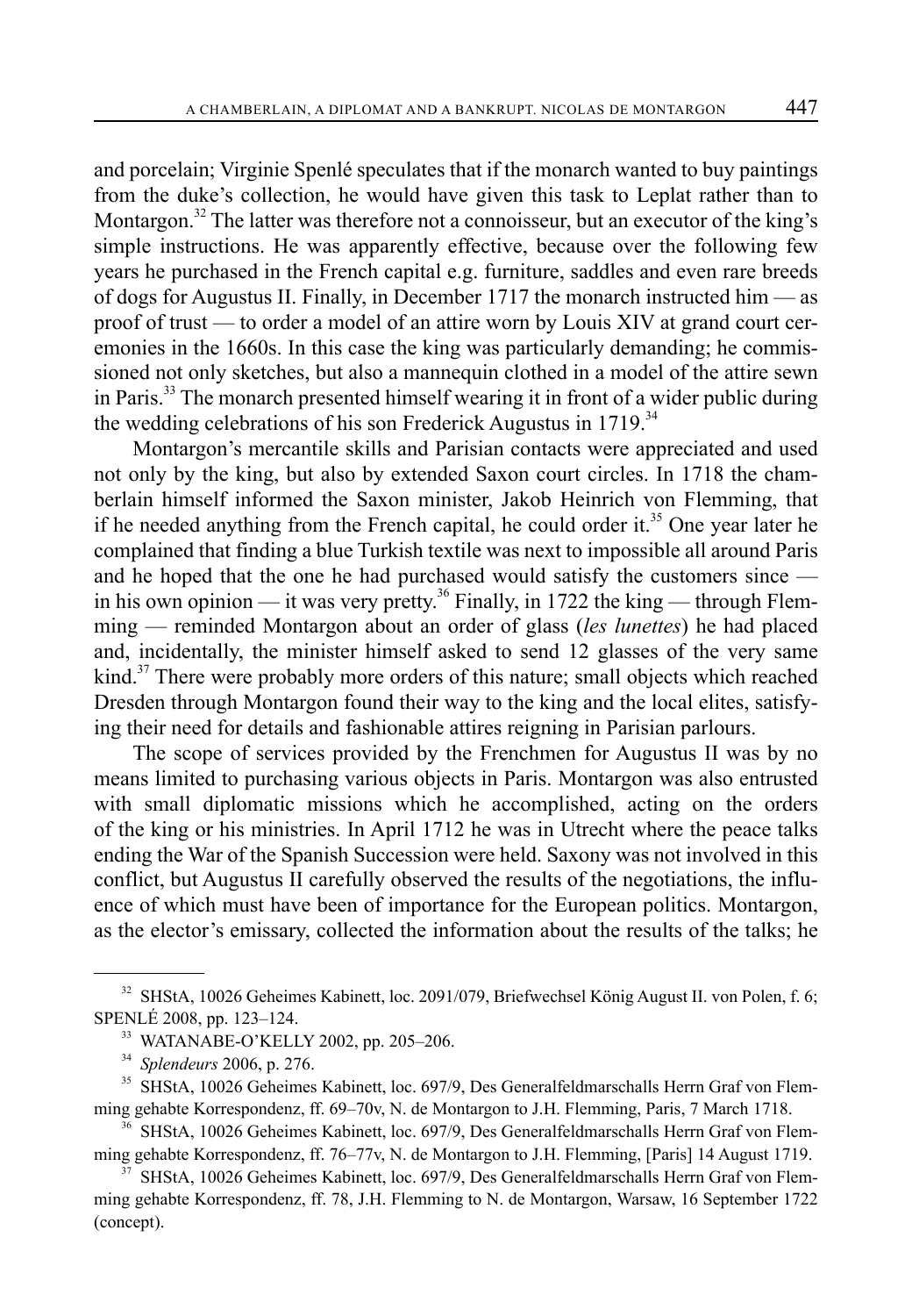and porcelain; Virginie Spenlé speculates that if the monarch wanted to buy paintings from the duke's collection, he would have given this task to Leplat rather than to Montargon.<sup>32</sup> The latter was therefore not a connoisseur, but an executor of the king's simple instructions. He was apparently effective, because over the following few years he purchased in the French capital e.g. furniture, saddles and even rare breeds of dogs for Augustus II. Finally, in December 1717 the monarch instructed him — as proof of trust — to order a model of an attire worn by Louis XIV at grand court ceremonies in the 1660s. In this case the king was particularly demanding; he commissioned not only sketches, but also a mannequin clothed in a model of the attire sewn in Paris.<sup>33</sup> The monarch presented himself wearing it in front of a wider public during the wedding celebrations of his son Frederick Augustus in  $1719$ <sup>34</sup>

Montargon's mercantile skills and Parisian contacts were appreciated and used not only by the king, but also by extended Saxon court circles. In 1718 the chamberlain himself informed the Saxon minister, Jakob Heinrich von Flemming, that if he needed anything from the French capital, he could order it.<sup>35</sup> One year later he complained that finding a blue Turkish textile was next to impossible all around Paris and he hoped that the one he had purchased would satisfy the customers since in his own opinion — it was very pretty.<sup>36</sup> Finally, in 1722 the king — through Flemming — reminded Montargon about an order of glass (*les lunettes*) he had placed and, incidentally, the minister himself asked to send 12 glasses of the very same kind.<sup>37</sup> There were probably more orders of this nature; small objects which reached Dresden through Montargon found their way to the king and the local elites, satisfying their need for details and fashionable attires reigning in Parisian parlours.

The scope of services provided by the Frenchmen for Augustus II was by no means limited to purchasing various objects in Paris. Montargon was also entrusted with small diplomatic missions which he accomplished, acting on the orders of the king or his ministries. In April 1712 he was in Utrecht where the peace talks ending the War of the Spanish Succession were held. Saxony was not involved in this conflict, but Augustus II carefully observed the results of the negotiations, the influence of which must have been of importance for the European politics. Montargon, as the elector's emissary, collected the information about the results of the talks; he

<sup>&</sup>lt;sup>32</sup> SHStA, 10026 Geheimes Kabinett, loc. 2091/079, Briefwechsel König August II. von Polen, f. 6; SPENLÉ 2008, pp. 123–124.

<sup>&</sup>lt;sup>33</sup> WATANABE-O'KELLY 2002, pp. 205–206.

<sup>34</sup> *Splendeurs* 2006, p. 276.

<sup>&</sup>lt;sup>35</sup> SHStA, 10026 Geheimes Kabinett, loc. 697/9, Des Generalfeldmarschalls Herrn Graf von Flemming gehabte Korrespondenz, ff. 69–70v, N. de Montargon to J.H. Flemming, Paris, 7 March 1718.

<sup>&</sup>lt;sup>36</sup> SHStA, 10026 Geheimes Kabinett, loc. 697/9, Des Generalfeldmarschalls Herrn Graf von Flemming gehabte Korrespondenz, ff. 76–77v, N. de Montargon to J.H. Flemming, [Paris] 14 August 1719.

<sup>37</sup> SHStA, 10026 Geheimes Kabinett, loc. 697/9, Des Generalfeldmarschalls Herrn Graf von Flemming gehabte Korrespondenz, ff. 78, J.H. Flemming to N. de Montargon, Warsaw, 16 September 1722 (concept).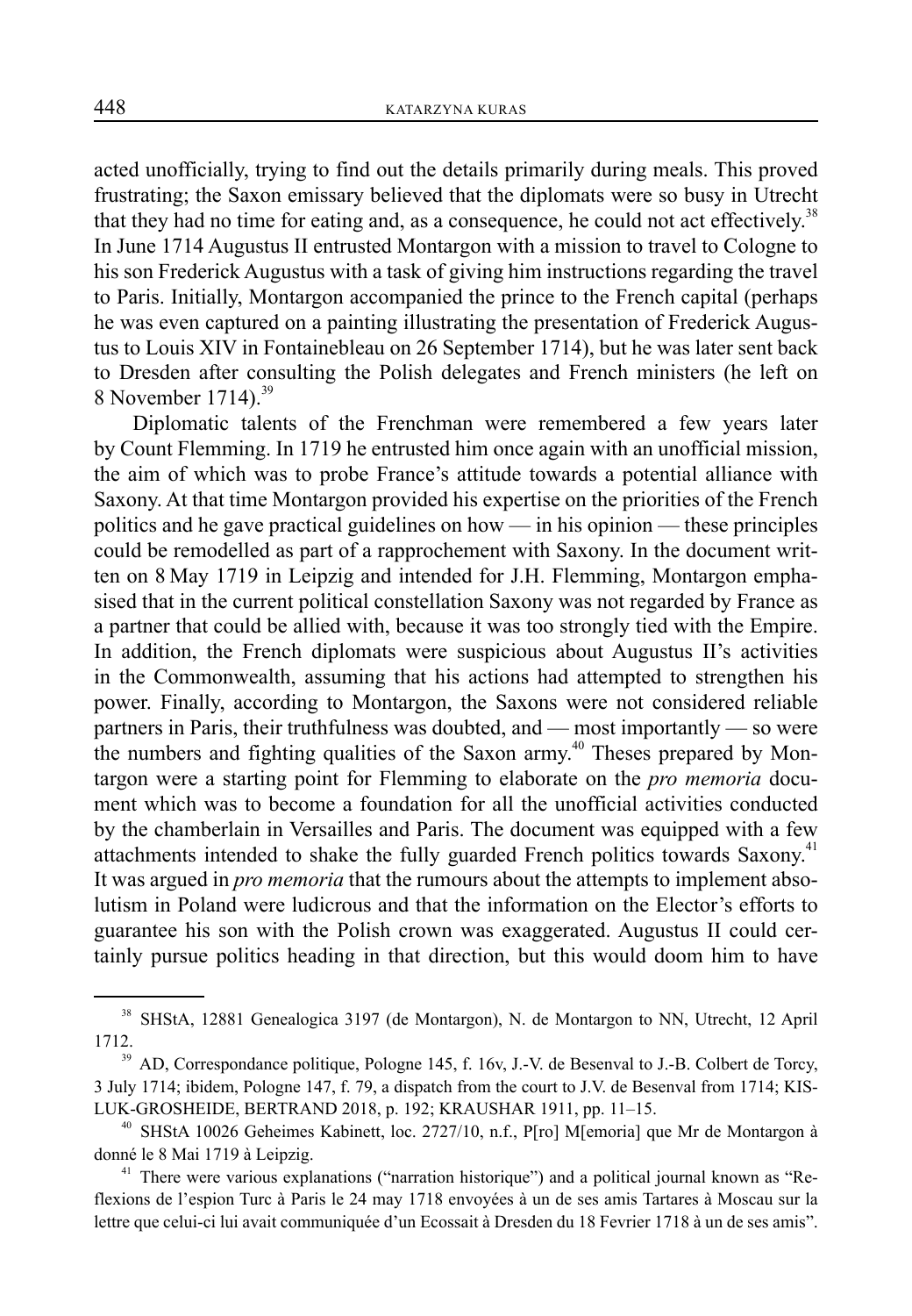acted unofficially, trying to find out the details primarily during meals. This proved frustrating; the Saxon emissary believed that the diplomats were so busy in Utrecht that they had no time for eating and, as a consequence, he could not act effectively.<sup>38</sup> In June 1714 Augustus II entrusted Montargon with a mission to travel to Cologne to his son Frederick Augustus with a task of giving him instructions regarding the travel to Paris. Initially, Montargon accompanied the prince to the French capital (perhaps he was even captured on a painting illustrating the presentation of Frederick Augustus to Louis XIV in Fontainebleau on 26 September 1714), but he was later sent back to Dresden after consulting the Polish delegates and French ministers (he left on 8 November 1714). $^{39}$ 

Diplomatic talents of the Frenchman were remembered a few years later by Count Flemming. In 1719 he entrusted him once again with an unofficial mission, the aim of which was to probe France's attitude towards a potential alliance with Saxony. At that time Montargon provided his expertise on the priorities of the French politics and he gave practical guidelines on how — in his opinion — these principles could be remodelled as part of a rapprochement with Saxony. In the document written on 8 May 1719 in Leipzig and intended for J.H. Flemming, Montargon emphasised that in the current political constellation Saxony was not regarded by France as a partner that could be allied with, because it was too strongly tied with the Empire. In addition, the French diplomats were suspicious about Augustus II's activities in the Commonwealth, assuming that his actions had attempted to strengthen his power. Finally, according to Montargon, the Saxons were not considered reliable partners in Paris, their truthfulness was doubted, and — most importantly — so were the numbers and fighting qualities of the Saxon army.<sup>40</sup> Theses prepared by Montargon were a starting point for Flemming to elaborate on the *pro memoria* document which was to become a foundation for all the unofficial activities conducted by the chamberlain in Versailles and Paris. The document was equipped with a few attachments intended to shake the fully guarded French politics towards Saxony.<sup>41</sup> It was argued in *pro memoria* that the rumours about the attempts to implement absolutism in Poland were ludicrous and that the information on the Elector's efforts to guarantee his son with the Polish crown was exaggerated. Augustus II could certainly pursue politics heading in that direction, but this would doom him to have

<sup>38</sup> SHStA, 12881 Genealogica 3197 (de Montargon), N. de Montargon to NN, Utrecht, 12 April 1712.

<sup>&</sup>lt;sup>39</sup> AD, Correspondance politique, Pologne 145, f. 16v, J.-V. de Besenval to J.-B. Colbert de Torcy, 3 July 1714; ibidem, Pologne 147, f. 79, a dispatch from the court to J.V. de Besenval from 1714; KIS-LUK-GROSHEIDE, BERTRAND 2018, p. 192; KRAUSHAR 1911, pp. 11–15.

<sup>&</sup>lt;sup>40</sup> SHStA 10026 Geheimes Kabinett, loc. 2727/10, n.f., P[ro] M[emoria] que Mr de Montargon à donné le 8 Mai 1719 à Leipzig.

<sup>&</sup>lt;sup>41</sup> There were various explanations ("narration historique") and a political journal known as "Reflexions de l'espion Turc à Paris le 24 may 1718 envoyées à un de ses amis Tartares à Moscau sur la lettre que celui-ci lui avait communiquée d'un Ecossait à Dresden du 18 Fevrier 1718 à un de ses amis".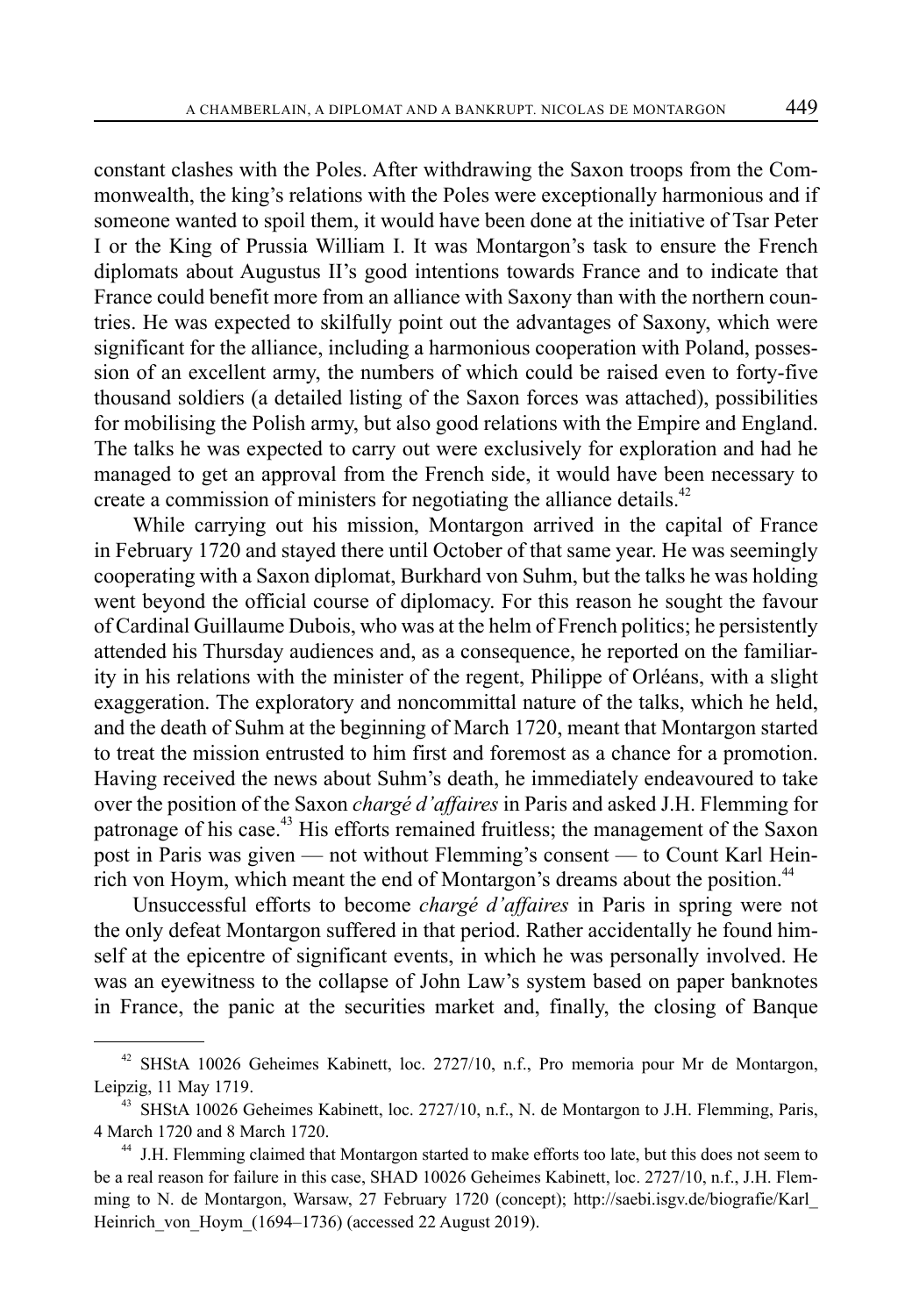constant clashes with the Poles. After withdrawing the Saxon troops from the Commonwealth, the king's relations with the Poles were exceptionally harmonious and if someone wanted to spoil them, it would have been done at the initiative of Tsar Peter I or the King of Prussia William I. It was Montargon's task to ensure the French diplomats about Augustus II's good intentions towards France and to indicate that France could benefit more from an alliance with Saxony than with the northern countries. He was expected to skilfully point out the advantages of Saxony, which were significant for the alliance, including a harmonious cooperation with Poland, possession of an excellent army, the numbers of which could be raised even to forty-five thousand soldiers (a detailed listing of the Saxon forces was attached), possibilities for mobilising the Polish army, but also good relations with the Empire and England. The talks he was expected to carry out were exclusively for exploration and had he managed to get an approval from the French side, it would have been necessary to create a commission of ministers for negotiating the alliance details.<sup>42</sup>

While carrying out his mission, Montargon arrived in the capital of France in February 1720 and stayed there until October of that same year. He was seemingly cooperating with a Saxon diplomat, Burkhard von Suhm, but the talks he was holding went beyond the official course of diplomacy. For this reason he sought the favour of Cardinal Guillaume Dubois, who was at the helm of French politics; he persistently attended his Thursday audiences and, as a consequence, he reported on the familiarity in his relations with the minister of the regent, Philippe of Orléans, with a slight exaggeration. The exploratory and noncommittal nature of the talks, which he held, and the death of Suhm at the beginning of March 1720, meant that Montargon started to treat the mission entrusted to him first and foremost as a chance for a promotion. Having received the news about Suhm's death, he immediately endeavoured to take over the position of the Saxon *chargé d'affaires* in Paris and asked J.H. Flemming for patronage of his case.<sup>43</sup> His efforts remained fruitless; the management of the Saxon post in Paris was given — not without Flemming's consent — to Count Karl Heinrich von Hoym, which meant the end of Montargon's dreams about the position.<sup>44</sup>

Unsuccessful efforts to become *chargé d'affaires* in Paris in spring were not the only defeat Montargon suffered in that period. Rather accidentally he found himself at the epicentre of significant events, in which he was personally involved. He was an eyewitness to the collapse of John Law's system based on paper banknotes in France, the panic at the securities market and, finally, the closing of Banque

<sup>42</sup> SHStA 10026 Geheimes Kabinett, loc. 2727/10, n.f., Pro memoria pour Mr de Montargon, Leipzig, 11 May 1719.

<sup>&</sup>lt;sup>43</sup> SHStA 10026 Geheimes Kabinett, loc. 2727/10, n.f., N. de Montargon to J.H. Flemming, Paris, 4 March 1720 and 8 March 1720.

<sup>&</sup>lt;sup>44</sup> J.H. Flemming claimed that Montargon started to make efforts too late, but this does not seem to be a real reason for failure in this case, SHAD 10026 Geheimes Kabinett, loc. 2727/10, n.f., J.H. Flemming to N. de Montargon, Warsaw, 27 February 1720 (concept); http://saebi.isgv.de/biografie/Karl\_ Heinrich von Hoym (1694–1736) (accessed 22 August 2019).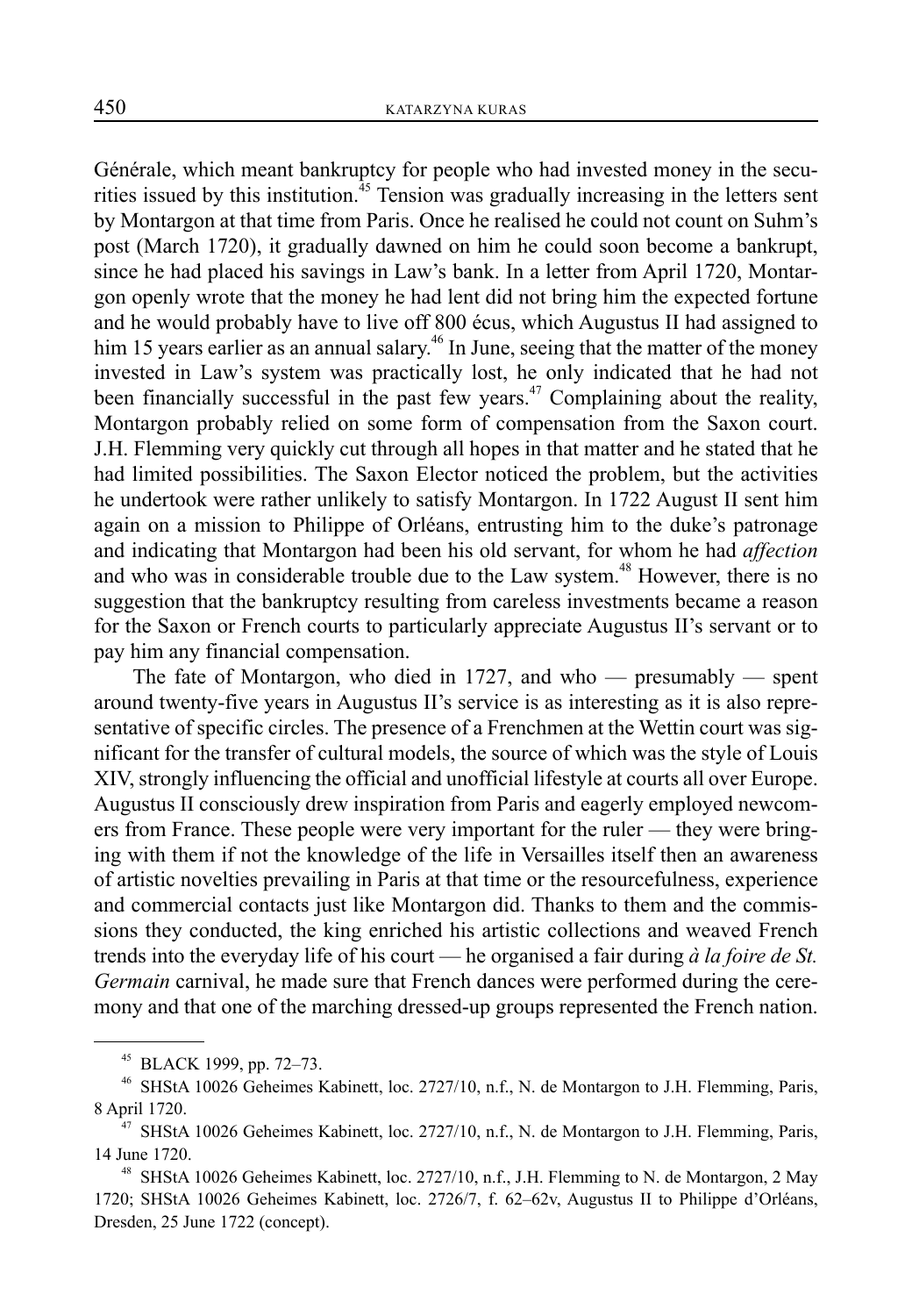Générale, which meant bankruptcy for people who had invested money in the securities issued by this institution.<sup>45</sup> Tension was gradually increasing in the letters sent by Montargon at that time from Paris. Once he realised he could not count on Suhm's post (March 1720), it gradually dawned on him he could soon become a bankrupt, since he had placed his savings in Law's bank. In a letter from April 1720, Montargon openly wrote that the money he had lent did not bring him the expected fortune and he would probably have to live off 800 écus, which Augustus II had assigned to him 15 years earlier as an annual salary.<sup>46</sup> In June, seeing that the matter of the money invested in Law's system was practically lost, he only indicated that he had not been financially successful in the past few years.<sup>47</sup> Complaining about the reality, Montargon probably relied on some form of compensation from the Saxon court. J.H. Flemming very quickly cut through all hopes in that matter and he stated that he had limited possibilities. The Saxon Elector noticed the problem, but the activities he undertook were rather unlikely to satisfy Montargon. In 1722 August II sent him again on a mission to Philippe of Orléans, entrusting him to the duke's patronage and indicating that Montargon had been his old servant, for whom he had *affection* and who was in considerable trouble due to the Law system.<sup>48</sup> However, there is no suggestion that the bankruptcy resulting from careless investments became a reason for the Saxon or French courts to particularly appreciate Augustus II's servant or to pay him any financial compensation.

The fate of Montargon, who died in 1727, and who — presumably — spent around twenty-five years in Augustus II's service is as interesting as it is also representative of specific circles. The presence of a Frenchmen at the Wettin court was significant for the transfer of cultural models, the source of which was the style of Louis XIV, strongly influencing the official and unofficial lifestyle at courts all over Europe. Augustus II consciously drew inspiration from Paris and eagerly employed newcomers from France. These people were very important for the ruler — they were bringing with them if not the knowledge of the life in Versailles itself then an awareness of artistic novelties prevailing in Paris at that time or the resourcefulness, experience and commercial contacts just like Montargon did. Thanks to them and the commissions they conducted, the king enriched his artistic collections and weaved French trends into the everyday life of his court — he organised a fair during *à la foire de St. Germain* carnival, he made sure that French dances were performed during the ceremony and that one of the marching dressed-up groups represented the French nation.

<sup>45</sup> BLACK 1999, pp. 72–73.

<sup>&</sup>lt;sup>46</sup> SHStA 10026 Geheimes Kabinett, loc. 2727/10, n.f., N. de Montargon to J.H. Flemming, Paris, 8 April 1720.

<sup>&</sup>lt;sup>47</sup> SHStA 10026 Geheimes Kabinett, loc. 2727/10, n.f., N. de Montargon to J.H. Flemming, Paris, 14 June 1720.

<sup>&</sup>lt;sup>48</sup> SHStA 10026 Geheimes Kabinett, loc. 2727/10, n.f., J.H. Flemming to N. de Montargon, 2 May 1720; SHStA 10026 Geheimes Kabinett, loc. 2726/7, f. 62–62v, Augustus II to Philippe d'Orléans, Dresden, 25 June 1722 (concept).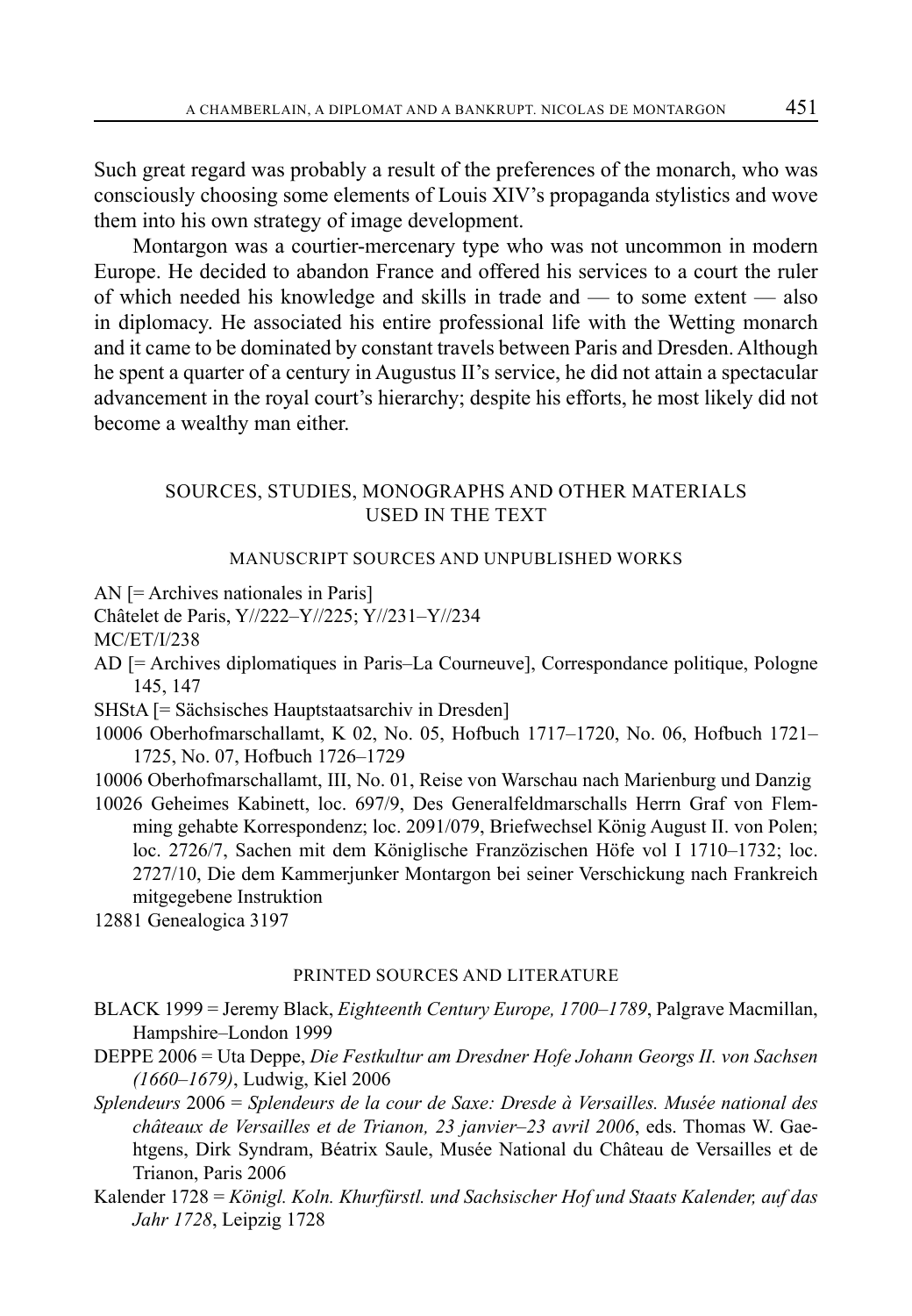Such great regard was probably a result of the preferences of the monarch, who was consciously choosing some elements of Louis XIV's propaganda stylistics and wove them into his own strategy of image development.

Montargon was a courtier-mercenary type who was not uncommon in modern Europe. He decided to abandon France and offered his services to a court the ruler of which needed his knowledge and skills in trade and — to some extent — also in diplomacy. He associated his entire professional life with the Wetting monarch and it came to be dominated by constant travels between Paris and Dresden. Although he spent a quarter of a century in Augustus II's service, he did not attain a spectacular advancement in the royal court's hierarchy; despite his efforts, he most likely did not become a wealthy man either.

### SOURCES, STUDIES, MONOGRAPHS AND OTHER MATERIALS USED IN THE TEXT

#### MANUSCRIPT SOURCES AND UNPUBLISHED WORKS

AN [= Archives nationales in Paris]

Châtelet de Paris, Y//222–Y//225; Y//231–Y//234

MC/ET/I/238

AD [= Archives diplomatiques in Paris–La Courneuve], Correspondance politique, Pologne 145, 147

SHStA [= Sächsisches Hauptstaatsarchiv in Dresden]

- 10006 Oberhofmarschallamt, K 02, No. 05, Hofbuch 1717–1720, No. 06, Hofbuch 1721– 1725, No. 07, Hofbuch 1726–1729
- 10006 Oberhofmarschallamt, III, No. 01, Reise von Warschau nach Marienburg und Danzig

10026 Geheimes Kabinett, loc. 697/9, Des Generalfeldmarschalls Herrn Graf von Flemming gehabte Korrespondenz; loc. 2091/079, Briefwechsel König August II. von Polen; loc. 2726/7, Sachen mit dem Königlische Franzözischen Höfe vol I 1710–1732; loc. 2727/10, Die dem Kammerjunker Montargon bei seiner Verschickung nach Frankreich mitgegebene Instruktion

12881 Genealogica 3197

#### PRINTED SOURCES AND LITERATURE

BLACK 1999 = Jeremy Black, *Eighteenth Century Europe, 1700–1789*, Palgrave Macmillan, Hampshire–London 1999

DEPPE 2006 = Uta Deppe, *Die Festkultur am Dresdner Hofe Johann Georgs II. von Sachsen (1660–1679)*, Ludwig, Kiel 2006

*Splendeurs* 2006 = *Splendeurs de la cour de Saxe: Dresde à Versailles. Musée national des châteaux de Versailles et de Trianon, 23 janvier–23 avril 2006*, eds. Thomas W. Gaehtgens, Dirk Syndram, Béatrix Saule, Musée National du Château de Versailles et de Trianon, Paris 2006

Kalender 1728 = *Königl. Koln. Khurfürstl. und Sachsischer Hof und Staats Kalender, auf das Jahr 1728*, Leipzig 1728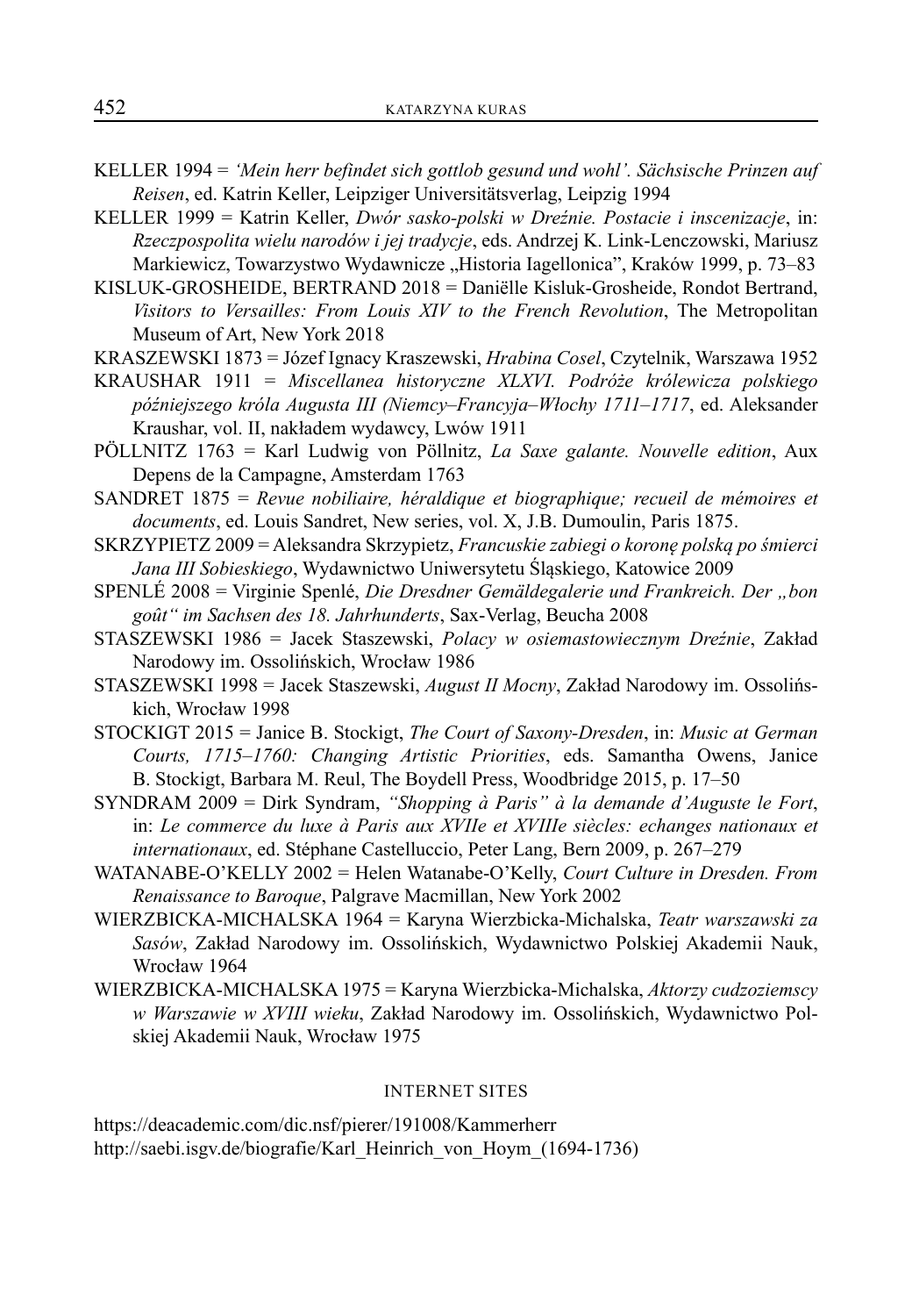- KELLER 1994 = *'Mein herr befindet sich gottlob gesund und wohl'. Sächsische Prinzen auf Reisen*, ed. Katrin Keller, Leipziger Universitätsverlag, Leipzig 1994
- KELLER 1999 = Katrin Keller, *Dwór sasko-polski w Dreźnie. Postacie i inscenizacje*, in: *Rzeczpospolita wielu narodów i jej tradycje*, eds. Andrzej K. Link-Lenczowski, Mariusz Markiewicz, Towarzystwo Wydawnicze "Historia Iagellonica", Kraków 1999, p. 73–83
- KISLUK-GROSHEIDE, BERTRAND 2018 = Daniëlle Kisluk-Grosheide, Rondot Bertrand, *Visitors to Versailles: From Louis XIV to the French Revolution*, The Metropolitan Museum of Art, New York 2018
- KRASZEWSKI 1873 = Józef Ignacy Kraszewski, *Hrabina Cosel*, Czytelnik, Warszawa 1952
- KRAUSHAR 1911 = *Miscellanea historyczne XLXVI. Podróże królewicza polskiego późniejszego króla Augusta III (Niemcy*–*Francyja*–*Włochy 1711*–*1717*, ed. Aleksander Kraushar, vol. II, nakładem wydawcy, Lwów 1911
- PÖLLNITZ 1763 = Karl Ludwig von Pöllnitz, *La Saxe galante. Nouvelle edition*, Aux Depens de la Campagne, Amsterdam 1763
- SANDRET 1875 = *Revue nobiliaire, héraldique et biographique; recueil de mémoires et documents*, ed. Louis Sandret, New series, vol. X, J.B. Dumoulin, Paris 1875.
- SKRZYPIETZ 2009 = Aleksandra Skrzypietz, *Francuskie zabiegi o koronę polską po śmierci Jana III Sobieskiego*, Wydawnictwo Uniwersytetu Śląskiego, Katowice 2009
- SPENLÉ 2008 = Virginie Spenlé, *Die Dresdner Gemäldegalerie und Frankreich. Der "bon goût" im Sachsen des 18. Jahrhunderts*, Sax-Verlag, Beucha 2008
- STASZEWSKI 1986 = Jacek Staszewski, *Polacy w osiemastowiecznym Dreźnie*, Zakład Narodowy im. Ossolińskich, Wrocław 1986
- STASZEWSKI 1998 = Jacek Staszewski, *August II Mocny*, Zakład Narodowy im. Ossolińskich, Wrocław 1998
- STOCKIGT 2015 = Janice B. Stockigt, *The Court of Saxony-Dresden*, in: *Music at German Courts, 1715–1760: Changing Artistic Priorities*, eds. Samantha Owens, Janice B. Stockigt, Barbara M. Reul, The Boydell Press, Woodbridge 2015, p. 17–50
- SYNDRAM 2009 = Dirk Syndram, *"Shopping à Paris" à la demande d'Auguste le Fort*, in: *Le commerce du luxe à Paris aux XVIIe et XVIIIe siècles: echanges nationaux et internationaux*, ed. Stéphane Castelluccio, Peter Lang, Bern 2009, p. 267–279
- WATANABE-O'KELLY 2002 = Helen Watanabe-O'Kelly, *Court Culture in Dresden. From Renaissance to Baroque*, Palgrave Macmillan, New York 2002
- WIERZBICKA-MICHALSKA 1964 = Karyna Wierzbicka-Michalska, *Teatr warszawski za Sasów*, Zakład Narodowy im. Ossolińskich, Wydawnictwo Polskiej Akademii Nauk, Wrocław 1964
- WIERZBICKA-MICHALSKA 1975 = Karyna Wierzbicka-Michalska, *Aktorzy cudzoziemscy w Warszawie w XVIII wieku*, Zakład Narodowy im. Ossolińskich, Wydawnictwo Polskiej Akademii Nauk, Wrocław 1975

#### INTERNET SITES

https://deacademic.com/dic.nsf/pierer/191008/Kammerherr http://saebi.isgv.de/biografie/Karl\_Heinrich\_von\_Hoym\_(1694-1736)